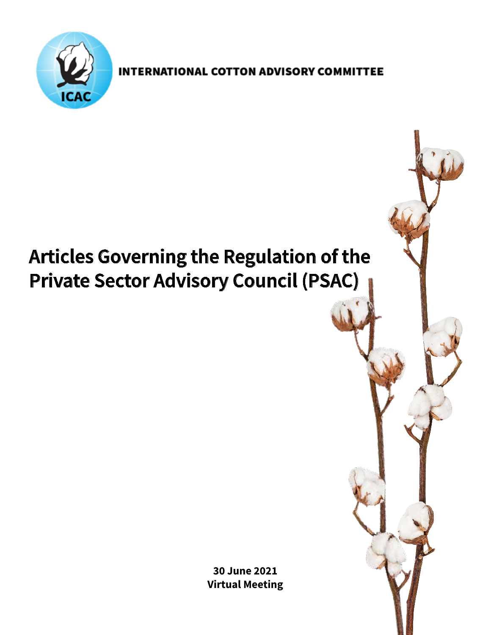

**INTERNATIONAL COTTON ADVISORY COMMITTEE** 

# **Articles Governing the Regulation of the Private Sector Advisory Council (PSAC)**

**30 June 2021 Virtual Meeting**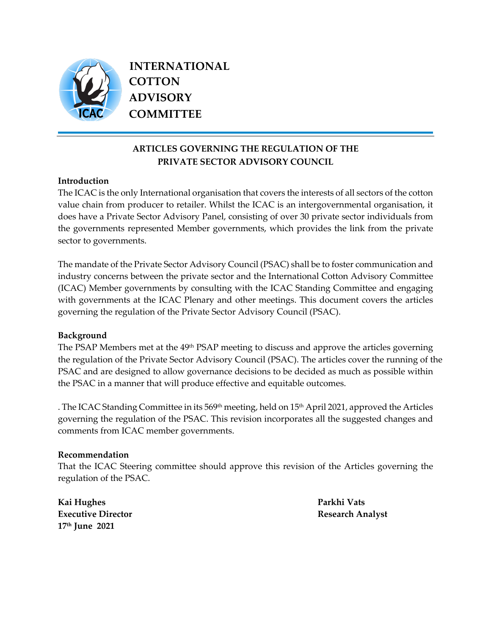

 **INTERNATIONAL COTTON ADVISORY COMMITTEE**

# **ARTICLES GOVERNING THE REGULATION OF THE PRIVATE SECTOR ADVISORY COUNCIL**

## **Introduction**

The ICAC is the only International organisation that covers the interests of all sectors of the cotton value chain from producer to retailer. Whilst the ICAC is an intergovernmental organisation, it does have a Private Sector Advisory Panel, consisting of over 30 private sector individuals from the governments represented Member governments, which provides the link from the private sector to governments.

The mandate of the Private Sector Advisory Council (PSAC) shall be to foster communication and industry concerns between the private sector and the International Cotton Advisory Committee (ICAC) Member governments by consulting with the ICAC Standing Committee and engaging with governments at the ICAC Plenary and other meetings. This document covers the articles governing the regulation of the Private Sector Advisory Council (PSAC).

#### **Background**

The PSAP Members met at the 49<sup>th</sup> PSAP meeting to discuss and approve the articles governing the regulation of the Private Sector Advisory Council (PSAC). The articles cover the running of the PSAC and are designed to allow governance decisions to be decided as much as possible within the PSAC in a manner that will produce effective and equitable outcomes.

. The ICAC Standing Committee in its 569<sup>th</sup> meeting, held on 15<sup>th</sup> April 2021, approved the Articles governing the regulation of the PSAC. This revision incorporates all the suggested changes and comments from ICAC member governments.

#### **Recommendation**

That the ICAC Steering committee should approve this revision of the Articles governing the regulation of the PSAC.

**Kai Hughes Parkhi Vats Executive Director Research Analyst 17th June 2021**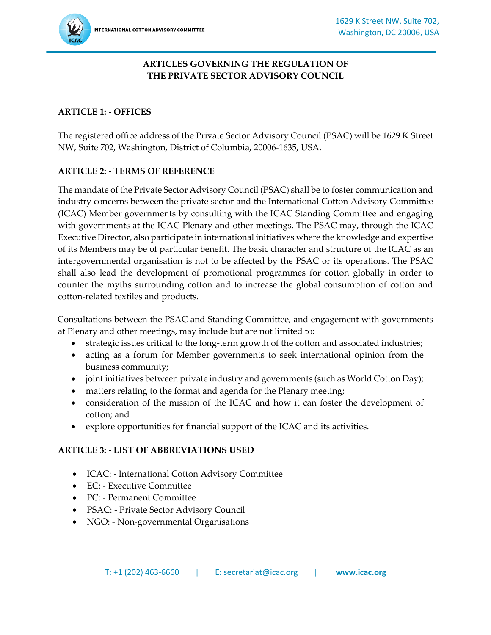## **ARTICLES GOVERNING THE REGULATION OF THE PRIVATE SECTOR ADVISORY COUNCIL**

## **ARTICLE 1: - OFFICES**

The registered office address of the Private Sector Advisory Council (PSAC) will be 1629 K Street NW, Suite 702, Washington, District of Columbia, 20006-1635, USA.

## **ARTICLE 2: - TERMS OF REFERENCE**

The mandate of the Private Sector Advisory Council (PSAC) shall be to foster communication and industry concerns between the private sector and the International Cotton Advisory Committee (ICAC) Member governments by consulting with the ICAC Standing Committee and engaging with governments at the ICAC Plenary and other meetings. The PSAC may, through the ICAC Executive Director, also participate in international initiatives where the knowledge and expertise of its Members may be of particular benefit. The basic character and structure of the ICAC as an intergovernmental organisation is not to be affected by the PSAC or its operations. The PSAC shall also lead the development of promotional programmes for cotton globally in order to counter the myths surrounding cotton and to increase the global consumption of cotton and cotton-related textiles and products.

Consultations between the PSAC and Standing Committee, and engagement with governments at Plenary and other meetings, may include but are not limited to:

- strategic issues critical to the long-term growth of the cotton and associated industries;
- acting as a forum for Member governments to seek international opinion from the business community;
- joint initiatives between private industry and governments (such as World Cotton Day);
- matters relating to the format and agenda for the Plenary meeting;
- consideration of the mission of the ICAC and how it can foster the development of cotton; and
- explore opportunities for financial support of the ICAC and its activities.

## **ARTICLE 3: - LIST OF ABBREVIATIONS USED**

- ICAC: International Cotton Advisory Committee
- EC: Executive Committee
- PC: Permanent Committee
- PSAC: Private Sector Advisory Council
- NGO: Non-governmental Organisations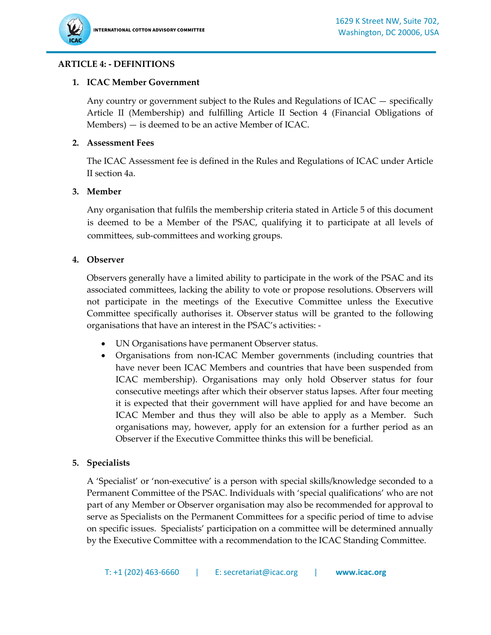## **ARTICLE 4: - DEFINITIONS**

#### **1. ICAC Member Government**

Any country or government subject to the Rules and Regulations of ICAC — specifically Article II (Membership) and fulfilling Article II Section 4 (Financial Obligations of Members) — is deemed to be an active Member of ICAC.

#### **2. Assessment Fees**

The ICAC Assessment fee is defined in the Rules and Regulations of ICAC under Article II section 4a.

#### **3. Member**

Any organisation that fulfils the membership criteria stated in Article 5 of this document is deemed to be a Member of the PSAC, qualifying it to participate at all levels of committees, sub-committees and working groups.

#### **4. Observer**

Observers generally have a limited ability to participate in the work of the PSAC and its associated committees, lacking the ability to vote or propose resolutions. Observers will not participate in the meetings of the Executive Committee unless the Executive Committee specifically authorises it. Observer status will be granted to the following organisations that have an interest in the PSAC's activities: -

- UN Organisations have permanent Observer status.
- Organisations from non-ICAC Member governments (including countries that have never been ICAC Members and countries that have been suspended from ICAC membership). Organisations may only hold Observer status for four consecutive meetings after which their observer status lapses. After four meeting it is expected that their government will have applied for and have become an ICAC Member and thus they will also be able to apply as a Member. Such organisations may, however, apply for an extension for a further period as an Observer if the Executive Committee thinks this will be beneficial.

#### **5. Specialists**

A 'Specialist' or 'non-executive' is a person with special skills/knowledge seconded to a Permanent Committee of the PSAC. Individuals with 'special qualifications' who are not part of any Member or Observer organisation may also be recommended for approval to serve as Specialists on the Permanent Committees for a specific period of time to advise on specific issues. Specialists' participation on a committee will be determined annually by the Executive Committee with a recommendation to the ICAC Standing Committee.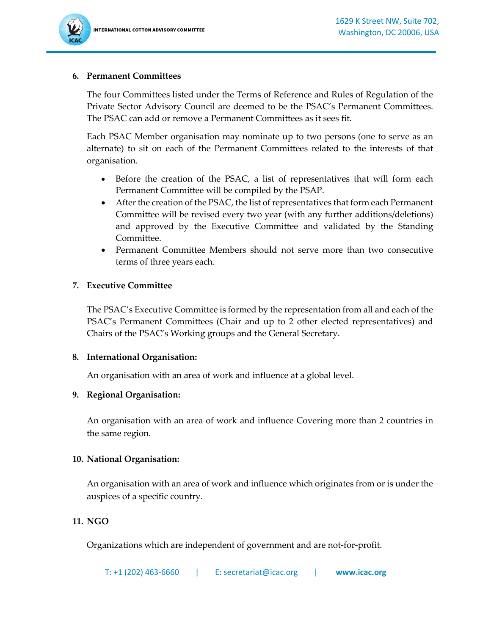#### **6. Permanent Committees**

The four Committees listed under the Terms of Reference and Rules of Regulation of the Private Sector Advisory Council are deemed to be the PSAC's Permanent Committees. The PSAC can add or remove a Permanent Committees as it sees fit.

Each PSAC Member organisation may nominate up to two persons (one to serve as an alternate) to sit on each of the Permanent Committees related to the interests of that organisation.

- Before the creation of the PSAC, a list of representatives that will form each Permanent Committee will be compiled by the PSAP.
- After the creation of the PSAC, the list of representatives that form each Permanent Committee will be revised every two year (with any further additions/deletions) and approved by the Executive Committee and validated by the Standing Committee.
- Permanent Committee Members should not serve more than two consecutive terms of three years each.

#### **7. Executive Committee**

The PSAC's Executive Committee is formed by the representation from all and each of the PSAC's Permanent Committees (Chair and up to 2 other elected representatives) and Chairs of the PSAC's Working groups and the General Secretary.

#### **8. International Organisation:**

An organisation with an area of work and influence at a global level.

#### **9. Regional Organisation:**

An organisation with an area of work and influence Covering more than 2 countries in the same region.

#### **10. National Organisation:**

An organisation with an area of work and influence which originates from or is under the auspices of a specific country.

#### **11. NGO**

Organizations which are independent of government and are not-for-profit.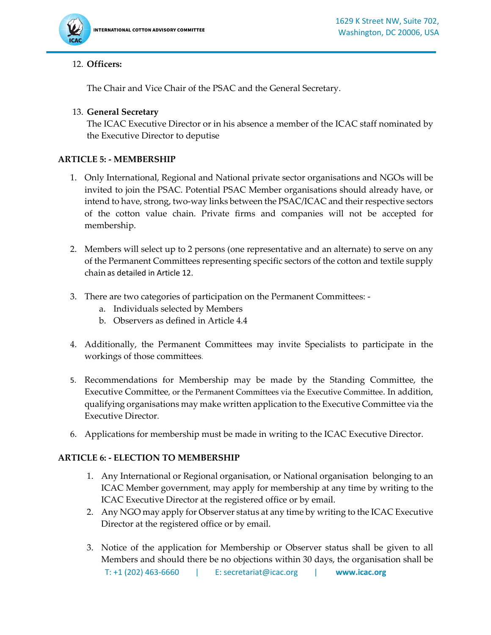

#### 12. **Officers:**

The Chair and Vice Chair of the PSAC and the General Secretary.

#### 13. **General Secretary**

The ICAC Executive Director or in his absence a member of the ICAC staff nominated by the Executive Director to deputise

#### **ARTICLE 5: - MEMBERSHIP**

- 1. Only International, Regional and National private sector organisations and NGOs will be invited to join the PSAC. Potential PSAC Member organisations should already have, or intend to have, strong, two-way links between the PSAC/ICAC and their respective sectors of the cotton value chain. Private firms and companies will not be accepted for membership.
- 2. Members will select up to 2 persons (one representative and an alternate) to serve on any of the Permanent Committees representing specific sectors of the cotton and textile supply chain as detailed in Article 12.
- 3. There are two categories of participation on the Permanent Committees:
	- a. Individuals selected by Members
	- b. Observers as defined in Article 4.4
- 4. Additionally, the Permanent Committees may invite Specialists to participate in the workings of those committees.
- 5. Recommendations for Membership may be made by the Standing Committee, the Executive Committee, or the Permanent Committees via the Executive Committee. In addition, qualifying organisations may make written application to the Executive Committee via the Executive Director.
- 6. Applications for membership must be made in writing to the ICAC Executive Director.

#### **ARTICLE 6: - ELECTION TO MEMBERSHIP**

- 1. Any International or Regional organisation, or National organisation belonging to an ICAC Member government, may apply for membership at any time by writing to the ICAC Executive Director at the registered office or by email.
- 2. Any NGO may apply for Observer status at any time by writing to the ICAC Executive Director at the registered office or by email.
- 3. Notice of the application for Membership or Observer status shall be given to all Members and should there be no objections within 30 days, the organisation shall be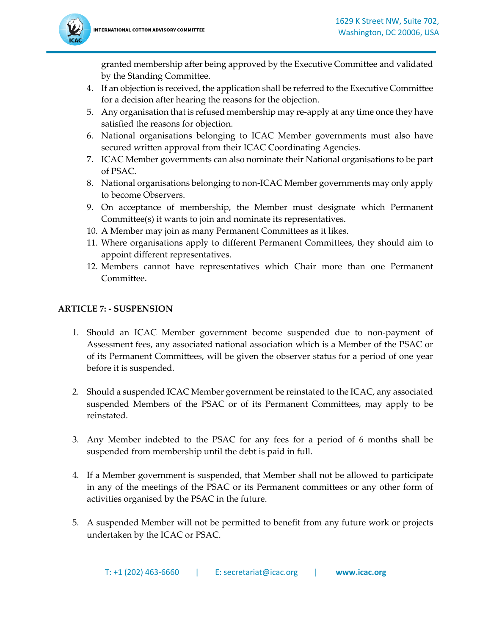

granted membership after being approved by the Executive Committee and validated by the Standing Committee.

- 4. If an objection is received, the application shall be referred to the Executive Committee for a decision after hearing the reasons for the objection.
- 5. Any organisation that is refused membership may re-apply at any time once they have satisfied the reasons for objection.
- 6. National organisations belonging to ICAC Member governments must also have secured written approval from their ICAC Coordinating Agencies.
- 7. ICAC Member governments can also nominate their National organisations to be part of PSAC.
- 8. National organisations belonging to non-ICAC Member governments may only apply to become Observers.
- 9. On acceptance of membership, the Member must designate which Permanent Committee(s) it wants to join and nominate its representatives.
- 10. A Member may join as many Permanent Committees as it likes.
- 11. Where organisations apply to different Permanent Committees, they should aim to appoint different representatives.
- 12. Members cannot have representatives which Chair more than one Permanent Committee.

## **ARTICLE 7: - SUSPENSION**

- 1. Should an ICAC Member government become suspended due to non-payment of Assessment fees, any associated national association which is a Member of the PSAC or of its Permanent Committees, will be given the observer status for a period of one year before it is suspended.
- 2. Should a suspended ICAC Member government be reinstated to the ICAC, any associated suspended Members of the PSAC or of its Permanent Committees, may apply to be reinstated.
- 3. Any Member indebted to the PSAC for any fees for a period of 6 months shall be suspended from membership until the debt is paid in full.
- 4. If a Member government is suspended, that Member shall not be allowed to participate in any of the meetings of the PSAC or its Permanent committees or any other form of activities organised by the PSAC in the future.
- 5. A suspended Member will not be permitted to benefit from any future work or projects undertaken by the ICAC or PSAC.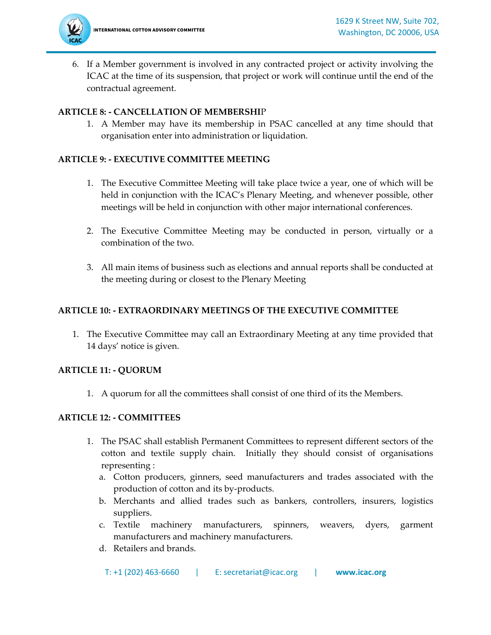

6. If a Member government is involved in any contracted project or activity involving the ICAC at the time of its suspension, that project or work will continue until the end of the contractual agreement.

## **ARTICLE 8: - CANCELLATION OF MEMBERSHI**P

1. A Member may have its membership in PSAC cancelled at any time should that organisation enter into administration or liquidation.

## **ARTICLE 9: - EXECUTIVE COMMITTEE MEETING**

- 1. The Executive Committee Meeting will take place twice a year, one of which will be held in conjunction with the ICAC's Plenary Meeting, and whenever possible, other meetings will be held in conjunction with other major international conferences.
- 2. The Executive Committee Meeting may be conducted in person, virtually or a combination of the two.
- 3. All main items of business such as elections and annual reports shall be conducted at the meeting during or closest to the Plenary Meeting

## **ARTICLE 10: - EXTRAORDINARY MEETINGS OF THE EXECUTIVE COMMITTEE**

1. The Executive Committee may call an Extraordinary Meeting at any time provided that 14 days' notice is given.

## **ARTICLE 11: - QUORUM**

1. A quorum for all the committees shall consist of one third of its the Members.

## **ARTICLE 12: - COMMITTEES**

- 1. The PSAC shall establish Permanent Committees to represent different sectors of the cotton and textile supply chain. Initially they should consist of organisations representing :
	- a. Cotton producers, ginners, seed manufacturers and trades associated with the production of cotton and its by-products.
	- b. Merchants and allied trades such as bankers, controllers, insurers, logistics suppliers.
	- c. Textile machinery manufacturers, spinners, weavers, dyers, garment manufacturers and machinery manufacturers.
	- d. Retailers and brands.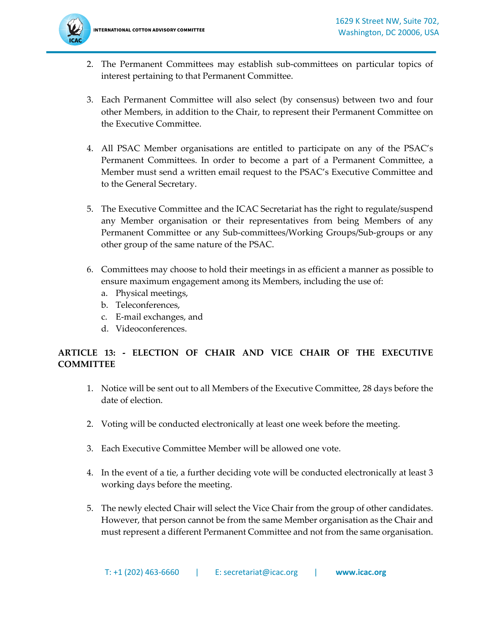

- 2. The Permanent Committees may establish sub-committees on particular topics of interest pertaining to that Permanent Committee.
- 3. Each Permanent Committee will also select (by consensus) between two and four other Members, in addition to the Chair, to represent their Permanent Committee on the Executive Committee.
- 4. All PSAC Member organisations are entitled to participate on any of the PSAC's Permanent Committees. In order to become a part of a Permanent Committee, a Member must send a written email request to the PSAC's Executive Committee and to the General Secretary.
- 5. The Executive Committee and the ICAC Secretariat has the right to regulate/suspend any Member organisation or their representatives from being Members of any Permanent Committee or any Sub-committees/Working Groups/Sub-groups or any other group of the same nature of the PSAC.
- 6. Committees may choose to hold their meetings in as efficient a manner as possible to ensure maximum engagement among its Members, including the use of:
	- a. Physical meetings,
	- b. Teleconferences,
	- c. E-mail exchanges, and
	- d. Videoconferences.

# **ARTICLE 13: - ELECTION OF CHAIR AND VICE CHAIR OF THE EXECUTIVE COMMITTEE**

- 1. Notice will be sent out to all Members of the Executive Committee, 28 days before the date of election.
- 2. Voting will be conducted electronically at least one week before the meeting.
- 3. Each Executive Committee Member will be allowed one vote.
- 4. In the event of a tie, a further deciding vote will be conducted electronically at least 3 working days before the meeting.
- 5. The newly elected Chair will select the Vice Chair from the group of other candidates. However, that person cannot be from the same Member organisation as the Chair and must represent a different Permanent Committee and not from the same organisation.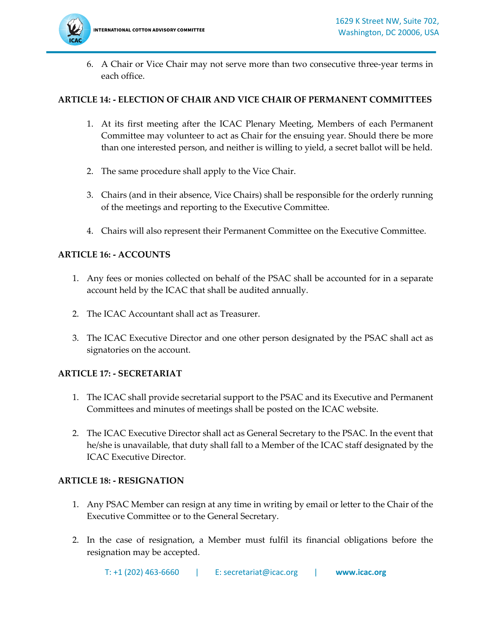

6. A Chair or Vice Chair may not serve more than two consecutive three-year terms in each office.

#### **ARTICLE 14: - ELECTION OF CHAIR AND VICE CHAIR OF PERMANENT COMMITTEES**

- 1. At its first meeting after the ICAC Plenary Meeting, Members of each Permanent Committee may volunteer to act as Chair for the ensuing year. Should there be more than one interested person, and neither is willing to yield, a secret ballot will be held.
- 2. The same procedure shall apply to the Vice Chair.
- 3. Chairs (and in their absence, Vice Chairs) shall be responsible for the orderly running of the meetings and reporting to the Executive Committee.
- 4. Chairs will also represent their Permanent Committee on the Executive Committee.

#### **ARTICLE 16: - ACCOUNTS**

- 1. Any fees or monies collected on behalf of the PSAC shall be accounted for in a separate account held by the ICAC that shall be audited annually.
- 2. The ICAC Accountant shall act as Treasurer.
- 3. The ICAC Executive Director and one other person designated by the PSAC shall act as signatories on the account.

#### **ARTICLE 17: - SECRETARIAT**

- 1. The ICAC shall provide secretarial support to the PSAC and its Executive and Permanent Committees and minutes of meetings shall be posted on the ICAC website.
- 2. The ICAC Executive Director shall act as General Secretary to the PSAC. In the event that he/she is unavailable, that duty shall fall to a Member of the ICAC staff designated by the ICAC Executive Director.

#### **ARTICLE 18: - RESIGNATION**

- 1. Any PSAC Member can resign at any time in writing by email or letter to the Chair of the Executive Committee or to the General Secretary.
- 2. In the case of resignation, a Member must fulfil its financial obligations before the resignation may be accepted.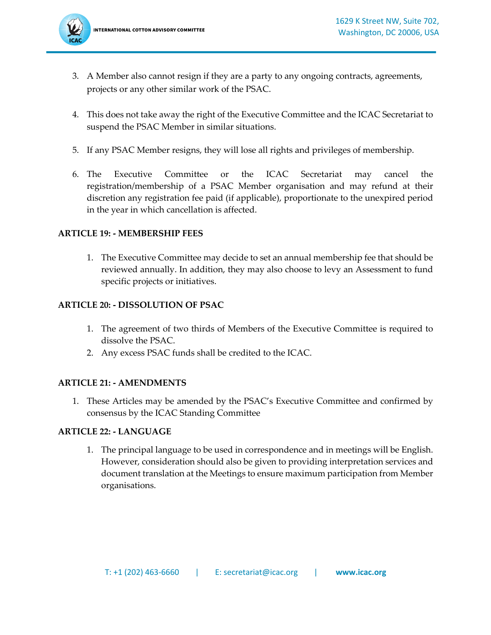- 3. A Member also cannot resign if they are a party to any ongoing contracts, agreements, projects or any other similar work of the PSAC.
- 4. This does not take away the right of the Executive Committee and the ICAC Secretariat to suspend the PSAC Member in similar situations.
- 5. If any PSAC Member resigns, they will lose all rights and privileges of membership.
- 6. The Executive Committee or the ICAC Secretariat may cancel the registration/membership of a PSAC Member organisation and may refund at their discretion any registration fee paid (if applicable), proportionate to the unexpired period in the year in which cancellation is affected.

#### **ARTICLE 19: - MEMBERSHIP FEES**

1. The Executive Committee may decide to set an annual membership fee that should be reviewed annually. In addition, they may also choose to levy an Assessment to fund specific projects or initiatives.

## **ARTICLE 20: - DISSOLUTION OF PSAC**

- 1. The agreement of two thirds of Members of the Executive Committee is required to dissolve the PSAC.
- 2. Any excess PSAC funds shall be credited to the ICAC.

## **ARTICLE 21: - AMENDMENTS**

1. These Articles may be amended by the PSAC's Executive Committee and confirmed by consensus by the ICAC Standing Committee

#### **ARTICLE 22: - LANGUAGE**

1. The principal language to be used in correspondence and in meetings will be English. However, consideration should also be given to providing interpretation services and document translation at the Meetings to ensure maximum participation from Member organisations.